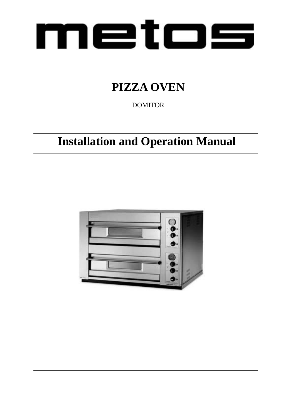

## **PIZZA OVEN**

DOMITOR

## **Installation and Operation Manual**

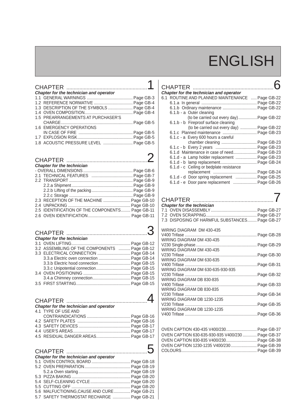# **ENGLISH**

| Chapter for the technician and operator   |  |
|-------------------------------------------|--|
|                                           |  |
|                                           |  |
| 1.3 DESCRIPTION OF THE SYMBOLS  Page GB-4 |  |
|                                           |  |
| 1.5 PREARRANGEMENTS AT PURCHASER'S        |  |
|                                           |  |
| <b>1.6 EMERGENCY OPERATIONS</b>           |  |
|                                           |  |
|                                           |  |
| 1.8 ACOUSTIC PRESSURE LEVEL  Page GB-5    |  |

| <b>Chapter for the technician</b>               |  |
|-------------------------------------------------|--|
|                                                 |  |
|                                                 |  |
|                                                 |  |
|                                                 |  |
|                                                 |  |
|                                                 |  |
| 2.3 RECEPTION OF THE MACHINE  Page GB-10        |  |
|                                                 |  |
| 2.5 IDENTIFICATION OF THE COMPONENTS Page GB-11 |  |
|                                                 |  |

| <b>Chapter for the technician</b>                 |  |
|---------------------------------------------------|--|
|                                                   |  |
| 3.2 ASSEMBLING OF THE COMPONENTS  Page GB-12      |  |
| 3.3 ELECTRICAL CONNECTION  Page GB-14             |  |
| <b>3.3.a</b> Electric oven connection  Page GB-14 |  |
| <b>3.3.b</b> Electric hood connection  Page GB-15 |  |
| 3.3.c Unipotential connection Page GB-15          |  |
|                                                   |  |
|                                                   |  |
|                                                   |  |

## **CHAPTER** *........................................................***4** *Chapter for the technician and operator* **4.1** TYPE OF USE AND

| 4.5 RESIDUAL DANGER AREAS Page GB-17 |  |
|--------------------------------------|--|

| CHAPTER $5$<br>Chapter for the technician and operator                                      |  |
|---------------------------------------------------------------------------------------------|--|
|                                                                                             |  |
| 5.6 MALFUCTIONING, CAUSE AND CURE  Page GB-21<br>5.7 SAFETY THERMOSTAT RECHARGE  Page GB-21 |  |

| <b>CHAPTER</b> |                                                 |  |
|----------------|-------------------------------------------------|--|
|                | Chapter for the technician and operator         |  |
|                | 6.1 ROUTINE AND PLANNED MAINTENANCE  Page GB-22 |  |
|                |                                                 |  |
|                | 6.1.b Ordinary maintenance  Page GB-22          |  |
|                | 6.1.b - a Outer cleaning                        |  |
|                |                                                 |  |
|                | 6.1.b - b Fireproof surface cleaning            |  |
|                | (to be carried out every day)  Page GB-22       |  |
|                | 6.1.c Planned maintenance  Page GB-23           |  |
|                | 6.1.c - a Every 600 hours a careful             |  |
|                | chamber cleaning  Page GB-23                    |  |
|                |                                                 |  |
|                | 6.1.d Maintenance in case of need Page GB-23    |  |
|                | 6.1.d - a Lamp holder replacement  Page GB-23   |  |
|                |                                                 |  |
|                | <b>6.1.d - c</b> Ceiling or bedplate resistance |  |
|                |                                                 |  |
|                | 6.1.d - d Door spring replacement  Page GB-25   |  |
|                |                                                 |  |
|                | 6.1.d - e Door pane replacement  Page GB-26     |  |

| <b>Chapter for the technician</b><br>7.3 DISPOSING OF HARMFUL SUBSTANCES Page GB-27 |  |
|-------------------------------------------------------------------------------------|--|
| WIRING DIAGRAM DM 430-435                                                           |  |
| WIRING DIAGRAM DM 430-435<br>WIRING DIAGRAM DM 430-435                              |  |
| WIRING DIAGRAM DM 630-635                                                           |  |
| WIRING DIAGRAM DM 630-635-930-935                                                   |  |
| WIRING DIAGRAM DB 830-835                                                           |  |
| WIRING DIAGRAM DB 830-835                                                           |  |
| WIRING DIAGRAM DB 1230-1235                                                         |  |
| WIRING DIAGRAM DB 1230-1235                                                         |  |
|                                                                                     |  |

| OVEN CAPTION 430-435 V400/230 Page GB-37          |  |
|---------------------------------------------------|--|
| OVEN CAPTION 630-635-930-935 V400/230  Page GB-37 |  |
| OVEN CAPTION 830-835 V400/230 Page GB-38          |  |
| OVEN CAPTION 1230-1235 V400/230 Page GB-39        |  |
|                                                   |  |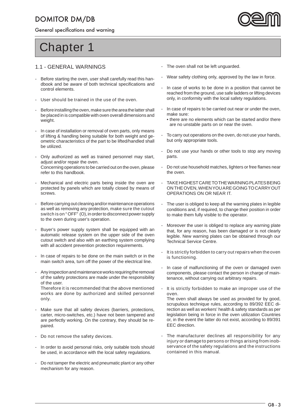General specifications and warning



# **Chapter 1**

#### **1.1 - GENERAL WARNINGS**

- Before starting the oven, user shall carefully read this handbook and be aware of both technical specifications and control elements.
- User should be trained in the use of the oven.
- Before installing the oven, make sure the area the latter shall be placed in is compatible with oven overall dimensions and weight.
- In case of installation or removal of oven parts, only means of lifting & handling being suitable for both weight and geometric characteristics of the part to be lifted/handled shall be utilized.
- Only authorized as well as trained personnel may start, adjust and/or repair the oven. Concerning operations to be carried out on the oven, please refer to this handbook.
- Mechanical and electric parts being inside the oven are protected by panels which are totally closed by means of screws.
- Before carrying out cleaning and/or maintenance operations as well as removing any protection, **make sure the cutout switch is on "OFF" (O),** in order to disconnect power supply to the oven during user's operation.
- Buyer's power supply system shall be equipped with an automatic release system on the upper side of the oven cutout switch and also with an earthing system complying with all accident prevention protection requirements.
- In case of repairs to be done on the main switch or in the main switch area, turn off the power of the electrical line.
- **-** Any inspection and maintenance works requiring the removal of the safety protections are made under the responsibility of the user. **Therefore it is recommended that the above mentioned works are done by authorized and skilled personnel**
- **only.** Make sure that all safety devices (barriers, protections,
- carter, micro-switches, etc.) have not been tampered and are perfectly working. On the contrary, they should be repaired.
- **Do not remove the safety devices.**
- In order to avoid personal risks, only suitable tools should be used, in accordance with the local safety regulations.
- Do not tamper the electric and pneumatic plant or any other mechanism for any reason.
- The oven shall not be left unguarded.
- Wear safety clothing only, approved by the law in force.
- In case of works to be done in a position that cannot be reached from the ground, use safe ladders or lifting devices only, in conformity with the local safety regulations.
- In case of repairs to be carried out near or under the oven, make sure:
- there are no elements which can be started and/or there are no unstable parts on or near the oven.
- To carry out operations on the oven, do not use your hands, but only appropriate tools.
- Do not use your hands or other tools to stop any moving parts.
- Do not use household matches, lighters or free flames near the oven.
- **TAKE HIGHEST CARE TO THE WARNING PLATES BEING ON THE OVEN, WHEN YOU ARE GOING TO CARRY OUT OPERATIONS ON OR NEAR IT.**
- The user is obliged to keep all the warning plates in legible conditions and, if required, to change their position in order to make them fully visible to the operator.
- Moreover the user is obliged to replace any warning plate that, for any reason, has been damaged or is not clearly legible. New warning plates can be obtained through our Technical Service Centre.
- **It is strictly forbidden to carry out repairs when the oven is functioning.**
- In case of malfunctioning of the oven or damaged oven components, please contact the person in charge of maintenance, without carrying out arbitrary repairs.
- **It is strictly forbidden to make an improper use of the oven.**

 The oven shall always be used as provided for by good, scrupulous technique rules, according to 89/392 EEC direction as well as workers' health & safety standards as per legislation being in force in the oven utilization Countries or, in the event the latter do not exist, according to 89/391 EEC direction.

**- The manufacturer declines all responsibility for any injury or damage to persons or things arising from inobservance of the safety regulations and the instructions contained in this manual.**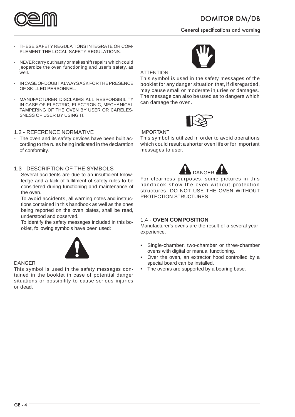

General specifications and warning

- **THESE SAFETY REGULATIONS INTEGRATE OR COM-PLEMENT THE LOCAL SAFETY REGULATIONS.**
- **NEVER carry out hasty or makeshift repairs which could jeopardize the oven functioning and user's safety, as well.**
- **IN CASE OF DOUBT ALWAYS ASK FOR THE PRESENCE OF SKILLED PERSONNEL.**
- **MANUFACTURER DISCLAIMS ALL RESPONSIBILITY IN CASE OF ELECTRIC, ELECTRONIC, MECHANICAL TAMPERING OF THE OVEN BY USER OR CARELES-SNESS OF USER BY USING IT.**

#### **1.2 - REFERENCE NORMATIVE**

- The oven and its safety devices have been built according to the rules being indicated in the declaration of conformity.

#### **1.3 - DESCRIPTION OF THE SYMBOLS**

Several accidents are due to an insufficient knowledge and a lack of fulfilment of safety rules to be considered during functioning and maintenance of the oven.

**To avoid accidents,** all warning notes and instructions contained in this handbook as well as the ones being reported on the oven plates, shall be read, understood and observed.

To identify the safety messages included in this booklet, following symbols have been used:



#### **DANGER**

**This symbol is used in the safety messages contained in the booklet in case of potential danger situations or possibility to cause serious injuries or dead.**



#### **ATTENTION**

**This symbol is used in the safety messages of the booklet for any danger situation that, if disregarded, may cause small or moderate injuries or damages. The message can also be used as to dangers which can damage the oven.**



#### **IMPORTANT**

**This symbol is utilized in order to avoid operations which could result a shorter oven life or for important messages to user.**



**For clearness purposes, some pictures in this handbook show the oven without protection structures. DO NOT USE THE OVEN WITHOUT PROTECTION STRUCTURES.**

#### **1.4 - OVEN COMPOSITION**

Manufacturer's ovens are the result of a several yearexperience.

- Single-chamber, two-chamber or three-chamber ovens with digital or manual functioning.
- Over the oven, an extractor hood controlled by a special board can be installed.
- The oven/s are supported by a bearing base.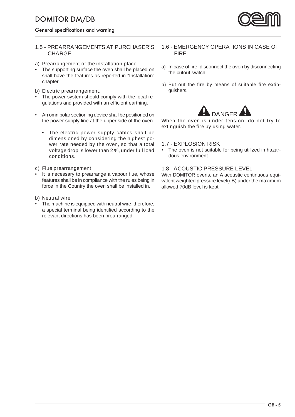General specifications and warning

#### **1.5 - PREARRANGEMENTS AT PURCHASER'S CHARGE**

#### **a) Prearrangement of the installation place.**

- The supporting surface the oven shall be placed on shall have the features as reported in "Installation" chapter.
- **b) Electric prearrangement.**
- The power system should comply with the local regulations and provided with an efficient earthing.
- An omnipolar sectioning device shall be positioned on the power supply line at the upper side of the oven.
	- **The electric power supply cables shall be dimensioned by considering the highest power rate needed by the oven, so that a total voltage drop is lower than 2 %, under full load conditions.**

#### **c) Flue prearrangement**

It is necessary to prearrange a vapour flue, whose features shall be in compliance with the rules being in force in the Country the oven shall be installed in.

#### **b) Neutral wire**

The machine is equipped with neutral wire, therefore, a special terminal being identified according to the relevant directions has been prearranged.

#### **1.6 - EMERGENCY OPERATIONS IN CASE OF FIRE**

- **a**) In case of fire, disconnect the oven by disconnecting the cutout switch.
- **b**) Put out the fire by means of suitable fire extinguishers.



**When the oven is under tension, do not try to extinguish the fire by using water.** 

#### **1.7 - EXPLOSION RISK**

• The oven is not suitable for being utilized in hazardous environment.

#### **1.8 - ACOUSTIC PRESSURE LEVEL**

With DOMITOR ovens, an A acoustic continuous equivalent weighted pressure level(dB) under the maximum allowed 70dB level is kept.

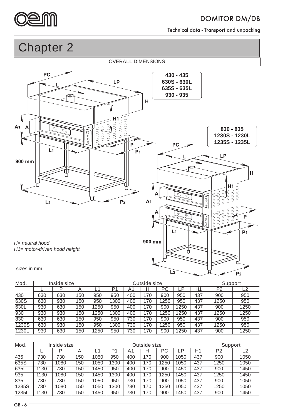

Technical data - Transport and unpacking

**Chapter 2**

**OVERALL DIMENSIONS** 



| Mod.  | <b>Inside size</b> |     |     |      | <b>Outside size</b> |     |     |      |      |     | <b>Support</b> |      |
|-------|--------------------|-----|-----|------|---------------------|-----|-----|------|------|-----|----------------|------|
|       |                    | D   | −   |      | P1                  | A1  | н   | РC   | ∟P   | H1  | P <sub>2</sub> |      |
| 430   | 630                | 630 | 150 | 950  | 950                 | 400 | 170 | 900  | 950  | 437 | 900            | 950  |
| 630S  | 630                | 930 | 150 | 950  | 1300                | 400 | 170 | 1250 | 950  | 437 | 1250           | 950  |
| 630L  | 930                | 630 | 150 | 1250 | 950                 | 400 | 170 | 900  | 1250 | 437 | 900            | 1250 |
| 930   | 930                | 930 | 150 | 1250 | 1300                | 400 | 170 | 1250 | 1250 | 437 | 1250           | 1250 |
| 830   | 630                | 630 | 150 | 950  | 950                 | 730 | 170 | 900  | 950  | 437 | 900            | 950  |
| 1230S | 630                | 930 | 150 | 950  | 1300                | 730 | 170 | 250  | 950  | 437 | 1250           | 950  |
| 1230L | 930                | 630 | 150 | 1250 | 950                 | 730 | 170 | 900  | 1250 | 437 | 900            | 1250 |

| Mod.<br>Inside size |      |      |     | <b>Outside size</b> |      |       |     |     |      | <b>Support</b> |                |      |
|---------------------|------|------|-----|---------------------|------|-------|-----|-----|------|----------------|----------------|------|
|                     |      | D    |     |                     | P1   | $A^4$ | н   | РC  | P    | Η1             | P <sub>2</sub> | 2    |
| 435                 | 730  | 730  | 150 | 1050                | 950  | 400   | 170 | 900 | 1050 | 437            | 900            | 1050 |
| 635S                | 730  | 1080 | 150 | 1050                | 1300 | 400   | 170 | 250 | 1050 | 437            | 1250           | 1050 |
| 635L                | 1130 | 730  | 150 | 1450                | 950  | 400   | 170 | 900 | 1450 | 437            | 900            | 1450 |
| $\overline{935}$    | 1130 | 1080 | 150 | 1450                | 1300 | 400   | 170 | 250 | 1450 | 437            | 1250           | 1450 |
| 835                 | 730  | 730  | 150 | 1050                | 950  | 730   | 170 | 900 | 1050 | 437            | 900            | 1050 |
| 1235S               | 730  | 1080 | 150 | 1050                | 1300 | 730   | 170 | 250 | 1050 | 437            | 1250           | 1050 |
| 1235L               | 1130 | 730  | 150 | 1450                | 950  | 730   | 170 | 900 | 1450 | 437            | 900            | 1450 |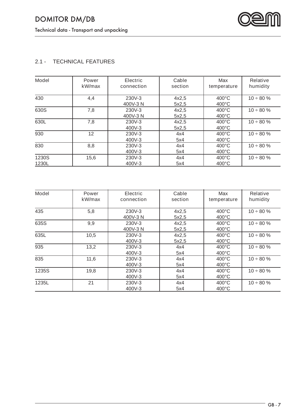

### **2.1 - TECHNICAL FEATURES**

| <b>Model</b>          | <b>Power</b><br>kW/max | <b>Electric</b><br>connection | Cable<br>section | <b>Max</b><br>temperature          | <b>Relative</b><br>humidity |
|-----------------------|------------------------|-------------------------------|------------------|------------------------------------|-----------------------------|
| 430                   | 4,4                    | 230V-3<br>400V-3 N            | 4x2,5<br>5x2,5   | 400°C<br>$400^{\circ}$ C           | $10 \div 80 \%$             |
| 630S                  | 7,8                    | 230V-3<br>400V-3N             | 4x2,5<br>5x2,5   | $400^{\circ}$ C<br>$400^{\circ}$ C | $10 \div 80 \%$             |
| 630L                  | 7,8                    | 230V-3<br>400V-3              | 4x2,5<br>5x2,5   | $400^{\circ}$ C<br>$400^{\circ}$ C | $10 \div 80 \%$             |
| 930                   | 12                     | 230V-3<br>400V-3              | 4x4<br>5x4       | $400^{\circ}$ C<br>$400^{\circ}$ C | $10 \div 80 \%$             |
| 830                   | 8,8                    | 230V-3<br>400V-3              | 4x4<br>5x4       | $400^{\circ}$ C<br>$400^{\circ}$ C | $10 \div 80 \%$             |
| <b>1230S</b><br>1230L | 15,6                   | 230V-3<br>400V-3              | 4x4<br>5x4       | $400^{\circ}$ C<br>$400^{\circ}$ C | $10 \div 80 \%$             |

| <b>Model</b> | <b>Power</b><br>kW/max | <b>Electric</b><br>connection | Cable<br>section | <b>Max</b><br>temperature          | <b>Relative</b><br>humidity |
|--------------|------------------------|-------------------------------|------------------|------------------------------------|-----------------------------|
| 435          | 5,8                    | 230V-3<br>400V-3N             | 4x2,5<br>5x2,5   | $400^{\circ}$ C<br>$400^{\circ}$ C | $10 \div 80 \%$             |
| <b>635S</b>  | 9,9                    | 230V-3<br>400V-3N             | 4x2,5<br>5x2,5   | $400^{\circ}$ C<br>$400^{\circ}$ C | $10 \div 80 \%$             |
| 635L         | 10,5                   | 230V-3<br>400V-3              | 4x2,5<br>5x2,5   | $400^{\circ}$ C<br>$400^{\circ}$ C | $10 \div 80 \%$             |
| 935          | 13,2                   | 230V-3<br>400V-3              | 4x4<br>5x4       | $400^{\circ}$ C<br>$400^{\circ}$ C | $10 \div 80 \%$             |
| 835          | 11,6                   | 230V-3<br>400V-3              | 4x4<br>5x4       | $400^{\circ}$ C<br>$400^{\circ}$ C | $10 \div 80 \%$             |
| 1235S        | 19,8                   | 230V-3<br>400V-3              | 4x4<br>5x4       | $400^{\circ}$ C<br>$400^{\circ}$ C | $10 \div 80 \%$             |
| 1235L        | 21                     | 230V-3<br>400V-3              | 4x4<br>5x4       | $400^{\circ}$ C<br>$400^{\circ}$ C | $10 \div 80 \%$             |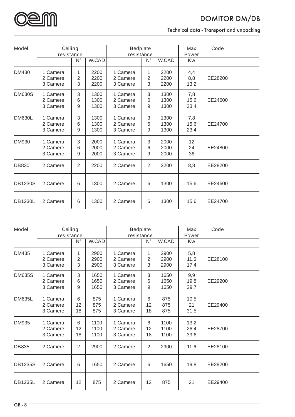

Technical data - Transport and unpacking

| Model.         | <b>Ceiling</b><br>resistance     |                                 |                      | <b>Bedplate</b><br>resistance    |                                 |                      | <b>Max</b><br><b>Power</b> | Code    |
|----------------|----------------------------------|---------------------------------|----------------------|----------------------------------|---------------------------------|----------------------|----------------------------|---------|
|                |                                  | $\overline{\mathsf{N}^{\circ}}$ | <b>W.CAD</b>         |                                  | $\overline{\mathsf{N}^{\circ}}$ | <b>W.CAD</b>         | <b>Kw</b>                  |         |
| <b>DM430</b>   | 1 Camera<br>2 Camere<br>3 Camere | 1<br>2<br>3                     | 2200<br>2200<br>2200 | 1 Camera<br>2 Camere<br>3 Camere | 1<br>2<br>3                     | 2200<br>2200<br>2200 | 4,4<br>8,8<br>13,2         | EE28200 |
| <b>DM630S</b>  | 1 Camera<br>2 Camere<br>3 Camere | 3<br>6<br>9                     | 1300<br>1300<br>1300 | 1 Camera<br>2 Camere<br>3 Camere | 3<br>6<br>9                     | 1300<br>1300<br>1300 | 7,8<br>15,6<br>23,4        | EE24600 |
| <b>DM630L</b>  | 1 Camera<br>2 Camere<br>3 Camere | 3<br>6<br>9                     | 1300<br>1300<br>1300 | 1 Camera<br>2 Camere<br>3 Camere | 3<br>6<br>9                     | 1300<br>1300<br>1300 | 7,8<br>15,6<br>23,4        | EE24700 |
| <b>DM930</b>   | 1 Camera<br>2 Camere<br>3 Camere | 3<br>6<br>9                     | 2000<br>2000<br>2000 | 1 Camera<br>2 Camere<br>3 Camere | 3<br>6<br>9                     | 2000<br>2000<br>2000 | 12<br>24<br>36             | EE24800 |
| <b>DB830</b>   | 2 Camere                         | $\overline{2}$                  | 2200                 | 2 Camere                         | $\overline{2}$                  | 2200                 | 8,8                        | EE28200 |
| <b>DB1230S</b> | 2 Camere                         | 6                               | 1300                 | 2 Camere                         | 6                               | 1300                 | 15,6                       | EE24600 |
| <b>DB1230L</b> | 2 Camere                         | 6                               | 1300                 | 2 Camere                         | 6                               | 1300                 | 15,6                       | EE24700 |

| Model.         | <b>Ceiling</b><br>resistance     |                                 |                      | <b>Bedplate</b><br>resistance    |                                 |                      | <b>Max</b><br><b>Power</b> | Code    |
|----------------|----------------------------------|---------------------------------|----------------------|----------------------------------|---------------------------------|----------------------|----------------------------|---------|
|                |                                  | $\overline{\mathsf{N}^{\circ}}$ | <b>W.CAD</b>         |                                  | $\overline{\mathsf{N}^{\circ}}$ | <b>W.CAD</b>         | <b>Kw</b>                  |         |
| <b>DM435</b>   | 1 Camera<br>2 Camere<br>3 Camere | 1<br>2<br>3                     | 2900<br>2900<br>2900 | 1 Camera<br>2 Camere<br>3 Camere | 1<br>2<br>3                     | 2900<br>2900<br>2900 | 5,8<br>11,6<br>17,4        | EE28100 |
| <b>DM635S</b>  | 1 Camera<br>2 Camere<br>3 Camere | 3<br>6<br>9                     | 1650<br>1650<br>1650 | 1 Camera<br>2 Camere<br>3 Camere | 3<br>6<br>9                     | 1650<br>1650<br>1650 | 9,9<br>19,8<br>29,7        | EE29200 |
| <b>DM635L</b>  | 1 Camera<br>2 Camere<br>3 Camere | 6<br>12<br>18                   | 875<br>875<br>875    | 1 Camera<br>2 Camere<br>3 Camere | 6<br>12<br>18                   | 875<br>875<br>875    | 10,5<br>21<br>31,5         | EE29400 |
| <b>DM935</b>   | 1 Camera<br>2 Camere<br>3 Camere | 6<br>12<br>18                   | 1100<br>1100<br>1100 | 1 Camera<br>2 Camere<br>3 Camere | 6<br>12<br>18                   | 1100<br>1100<br>1100 | 13,2<br>26,4<br>39,6       | EE28700 |
| <b>DB835</b>   | 2 Camere                         | 2                               | 2900                 | 2 Camere                         | 2                               | 2900                 | 11,6                       | EE28100 |
| <b>DB1235S</b> | 2 Camere                         | 6                               | 1650                 | 2 Camere                         | 6                               | 1650                 | 19,8                       | EE29200 |
| <b>DB1235L</b> | 2 Camere                         | 12                              | 875                  | 2 Camere                         | 12                              | 875                  | 21                         | EE29400 |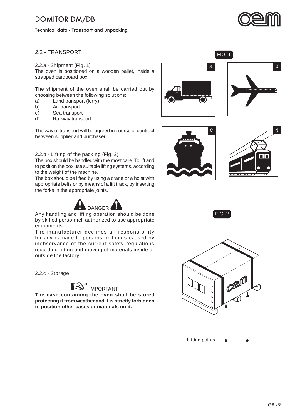Technical data - Transport and unpacking



#### **2.2 - TRANSPORT**

#### **2.2.a - Shipment (Fig. 1)**

The oven is positioned on a wooden pallet, inside a strapped cardboard box.

The shipment of the oven shall be carried out by choosing between the following solutions:

- **a)** Land transport (lorry)
- **b)** Air transport
- **c)** Sea transport
- **d)** Railway transport

The way of transport will be agreed in course of contract between supplier and purchaser.

#### **2.2.b - Lifting of the packing (Fig. 2)**

The box should be handled with the most care. To lift and to position the box use suitable lifting systems, according to the weight of the machine.

The box should be lifted by using a crane or a hoist with appropriate belts or by means of a lift track, by inserting the forks in the appropriate joints.



**Any handling and lifting operation should be done by skilled personnel, authorized to use appropriate equipments.** 

**The manufacturer declines all responsibility for any damage to persons or things caused by inobservance of the current safety regulations regarding lifting and moving of materials inside or outside the factory.**

**2.2.c - Storage**



**The case containing the oven shall be stored protecting it from weather and it is strictly forbidden to position other cases or materials on it.**





 $FIG. 1$ 







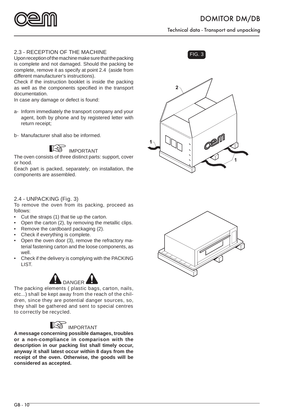

Technical data - Transport and unpacking

#### FIG. 3 **2.3 - RECEPTION OF THE MACHINE**

Upon reception of the machine make sure that the packing is complete and not damaged. Should the packing be complete, remove it as specify at point 2.4 (aside from different manufacturer's instructions).

Check if the instruction booklet is inside the packing as well as the components specified in the transport documentation.

In case any damage or defect is found:

- **a-** Inform immediately the transport company and your agent, both by phone and by registered letter with return receipt;
- **b-** Manufacturer shall also be informed.



The oven consists of three distinct parts: support, cover or hood.

Eeach part is packed, separately; on installation, the components are assembled.

#### **2.4 - UNPACKING (Fig. 3)**

To remove the oven from its packing, proceed as follows:

- Cut the straps (1) that tie up the carton.
- Open the carton (2), by removing the metallic clips.
- Remove the cardboard packaging (2).
- Check if everything is complete.
- Open the oven door (3), remove the refractory material fastening carton and the loose components, as well.
- Check if the delivery is complying with the PACKING LIST.



**The packing elements ( plastic bags, carton, nails, etc...) shall be kept away from the reach of the children, since they are potential danger sources, so, they shall be gathered and sent to special centres to correctly be recycled.**



**A message concerning possible damages, troubles or a non-compliance in comparison with the description in our packing list shall timely occur, anyway it shall latest occur within 8 days from the receipt of the oven. Otherwise, the goods will be considered as accepted.**





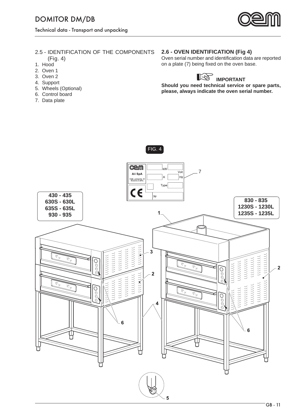

### **2.5 - IDENTIFICATION OF THE COMPONENTS**

- **(Fig. 4)**
- **1.** Hood
- **2.** Oven 1
- **3.** Oven 2
- **4.** Support
- **5.** Wheels (Optional)
- **6.** Control board
- **7.** Data plate

#### **2.6 - OVEN IDENTIFICATION (Fig 4)**

Oven serial number and identification data are reported on a plate (7) being fixed on the oven base.



**Should you need technical service or spare parts, please, always indicate the oven serial number.**



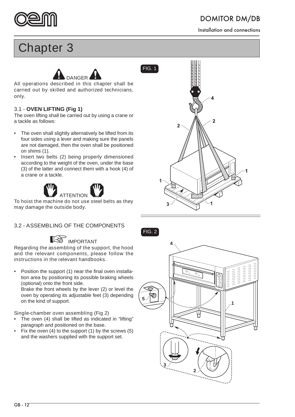

Installation and connections

## **Chapter 3**



**All operations described in this chapter shall be carried out by skilled and authorized technicians, only.**

#### **3.1 - OVEN LIFTING (Fig 1)**

The oven lifting shall be carried out by using a crane or a tackle as follows:

- The oven shall slightly alternatively be lifted from its four sides using a lever and making sure the panels are not damaged, then the oven shall be positioned on shims (1).
- Insert two belts (2) being properly dimensioned according to the weight of the oven, under the base (3) of the latter and connect them with a hook (4) of a crane or a tackle.



**To hoist the machine do not use steel belts as they may damage the outside body.**

#### **3.2 - ASSEMBLING OF THE COMPONENTS**

## **INPORTANT**

**Regarding the assembling of the support, the hood and the relevant components, please follow the instructions in the relevant handbooks.**

• Position the support (1) near the final oven installation area by positioning its possible braking wheels (optional) onto the front side. Brake the front wheels by the lever (2) or level the oven by operating its adjustable feet (3) depending on the kind of support.

#### **Single-chamber oven assembling (Fig 2)**

- The oven (4) shall be lifted as indicated in "lifting" paragraph and positioned on the base.
- Fix the oven (4) to the support (1) by the screws (5) and the washers supplied with the support set.





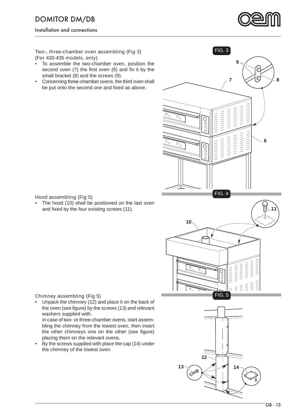Installation and connections



#### **Two-, three-chamber oven assembling (Fig 3) (For 430-435 models, only)**

- To assemble the two-chamber oven, position the second oven  $(7)$  the first oven  $(6)$  and fix it by the small bracket (8) and the screws (9).
- Concerning three-chamber ovens, the third oven shall be put onto the second one and fixed as above.



#### **Hood assembling (Fig 5)**

The hood (10) shall be positioned on the last oven and fixed by the four existing screws (11).

#### **Chimney assembling (Fig 5)**

• Unpack the chimney (12) and place it on the back of the oven (see figure) by the screws (13) and relevant washers supplied with.

 In case of two- or three-chamber ovens, start assembling the chimney from the lowest oven, then insert the other chimneys one on the other (see figure) placing them on the relevant ovens.

By the screws supplied with place the cap (14) under the chimney of the lowest oven.

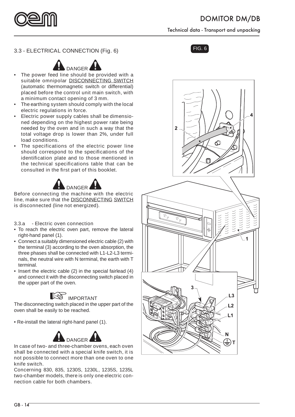

Technical data - Transport and unpacking

### FIG. 6 **3.3 - ELECTRICAL CONNECTION (Fig. 6)**



- **The power feed line should be provided with a suitable omnipolar DISCONNECTING SWITCH**  (automatic thermomagnetic switch or differential) **placed before the control unit main switch, with a minimum contact opening of 3 mm.**
- **The earthing system should comply with the local electric regulations in force.**
- **Electric power supply cables shall be dimensioned depending on the highest power rate being needed by the oven and in such a way that the total voltage drop is lower than 2%, under full load conditions.**
- **The specifications of the electric power line**  should correspond to the specifications of the **identifi cation plate and to those mentioned in**  the technical specifications table that can be consulted in the first part of this booklet.



**Before connecting the machine with the electric line, make sure that the DISCONNECTING SWITCH is disconnected (line not energized).**

#### **3.3.a - Electric oven connection**

- To reach the electric oven part, remove the lateral right-hand panel (1).
- Connect a suitably dimensioned electric cable (2) with the terminal (3) according to the oven absorption, the three phases shall be connected with L1-L2-L3 terminals, the neutral wire with N terminal, the earth with T terminal.
- Insert the electric cable (2) in the special fairlead (4) and connect it with the disconnecting switch placed in the upper part of the oven.

## **INPORTANT**

The disconnecting switch placed in the upper part of the oven shall be easily to be reached.

• Re-install the lateral right-hand panel (1).



**In case of two- and three-chamber ovens, each oven shall be connected with a special knife switch, it is not possible to connect more than one oven to one knife switch.**

**Concerning 830, 835, 1230S, 1230L, 1235S, 1235L two-chamber models, there is only one electric connection cable for both chambers.**



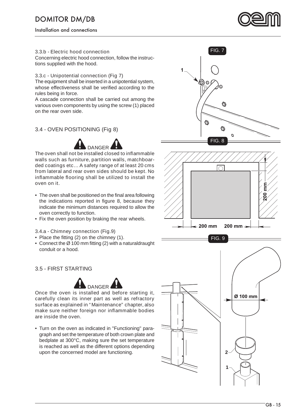Installation and connections



#### **3.3.b - Electric hood connection**

Concerning electric hood connection, follow the instructions supplied with the hood.

#### **3.3.c - Unipotential connection (Fig 7)**

The equipment shall be inserted in a unipotential system, whose effectiveness shall be verified according to the rules being in force.

A cascade connection shall be carried out among the various oven components by using the screw (1) placed on the rear oven side.

#### **3.4 - OVEN POSITIONING (Fig 8)**



**The oven shall not be installed closed to infl ammable walls such as furniture, partition walls, matchboarded coatings etc… A safety range of at least 20 cms from lateral and rear oven sides should be kept. No infl ammable fl ooring shall be utilized to install the oven on it.**

- The oven shall be positioned on the final area following the indications reported in figure 8, because they indicate the minimum distances required to allow the oven correctly to function.
- Fix the oven position by braking the rear wheels.

#### **3.4.a - Chimney connection (Fig.9)**

- Place the fitting  $(2)$  on the chimney  $(1)$ .
- Connect the  $\varnothing$  100 mm fitting (2) with a naturaldraught conduit or a hood.

#### **3.5 - FIRST STARTING**



**Once the oven is installed and before starting it, carefully clean its inner part as well as refractory surface as explained in "Maintenance" chapter, also**  make sure neither foreign nor inflammable bodies **are inside the oven.**

• Turn on the oven as indicated in "Functioning" paragraph and set the temperature of both crown plate and bedplate at 300°C, making sure the set temperature is reached as well as the different options depending upon the concerned model are functioning.





FIG. 9

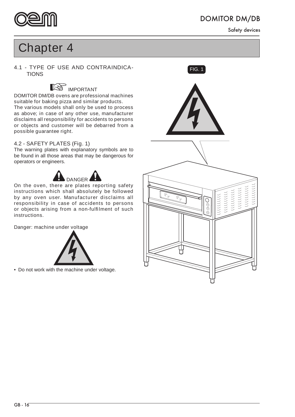

Safety devices

## **Chapter 4**

**4.1 - TYPE OF USE AND CONTRAINDICA-** FIG. 1 **TIONS** 

## **INPORTANT**

**DOMITOR DM/DB ovens are professional machines suitable for baking pizza and similar products. The various models shall only be used to process as above; in case of any other use, manufacturer disclaims all responsibility for accidents to persons or objects and customer will be debarred from a possible guarantee right.**

#### **4.2 - SAFETY PLATES (Fig. 1)**

The warning plates with explanatory symbols are to be found in all those areas that may be dangerous for operators or engineers.



**On the oven, there are plates reporting safety instructions which shall absolutely be followed by any oven user. Manufacturer disclaims all responsibility in case of accidents to persons or objects arising from a non-fulfi lment of such instructions.**

**Danger: machine under voltage** 



• Do not work with the machine under voltage.

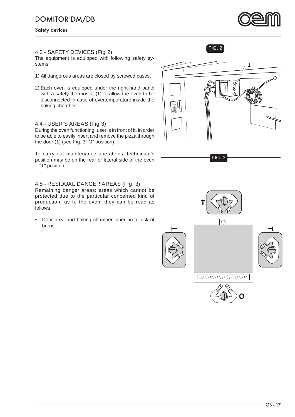Safety devices

#### **4.3 - SAFETY DEVICES (Fig 2)**

The equipment is equipped with following safety systems:

- 1) All dangerous areas are closed by screwed cases.
- 2) Each oven is equipped under the right-hand panel with a safety thermostat (1) to allow the oven to be disconnected in case of overtemperature inside the baking chamber.

#### **4.4 - USER'S AREAS (Fig 3)**

During the oven functioning, user is in front of it, in order to be able to easily insert and remove the pizza through the door (1) (see Fig. 3 "O" position).

To carry out maintenance operations, technician's position may be on the rear or lateral side of the oven - "T" position.

#### **4.5 - RESIDUAL DANGER AREAS (Fig. 3)**

Remaining danger areas: areas which cannot be protected due to the particular concerned kind of production; as to the oven, they can be read as follows:

• Door area and baking chamber inner area: risk of burns.



FIG. 2





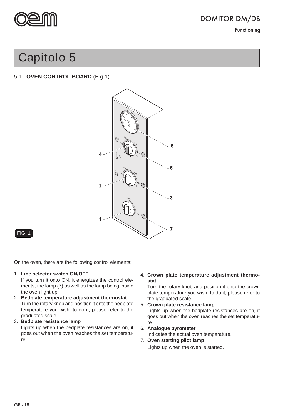

Functioning

## **Capitolo 5**

#### **5.1 - OVEN CONTROL BOARD (Fig 1)**



#### FIG. 1

On the oven, there are the following control elements:

#### **1. Line selector switch ON/OFF**

If you turn it onto ON, it energizes the control elements, the lamp (7) as well as the lamp being inside the oven light up.

- **2. Bedplate temperature adjustment thermostat** Turn the rotary knob and position it onto the bedplate temperature you wish, to do it, please refer to the graduated scale.
- **3. Bedplate resistance lamp** Lights up when the bedplate resistances are on, it goes out when the oven reaches the set temperature.

#### **4. Crown plate temperature adjustment thermostat**

Turn the rotary knob and position it onto the crown plate temperature you wish, to do it, please refer to the graduated scale.

**5. Crown plate resistance lamp**

Lights up when the bedplate resistances are on, it goes out when the oven reaches the set temperature.

**6. Analogue pyrometer**

Indicates the actual oven temperature.

**7. Oven starting pilot lamp** Lights up when the oven is started.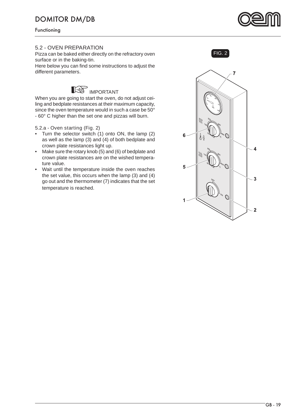Functioning

#### **5.2 - OVEN PREPARATION**

Pizza can be baked either directly on the refractory oven surface or in the baking-tin.

Here below you can find some instructions to adjust the different parameters.



When you are going to start the oven, do not adjust ceiling and bedplate resistances at their maximum capacity, since the oven temperature would in such a case be 50° - 60° C higher than the set one and pizzas will burn.

#### **5.2.a - Oven starting (Fig. 2)**

- Turn the selector switch (1) onto ON, the lamp (2) as well as the lamp (3) and (4) of both bedplate and crown plate resistances light up.
- Make sure the rotary knob (5) and (6) of bedplate and crown plate resistances are on the wished temperature value.
- Wait until the temperature inside the oven reaches the set value, this occurs when the lamp (3) and (4) go out and the thermometer (7) indicates that the set temperature is reached.





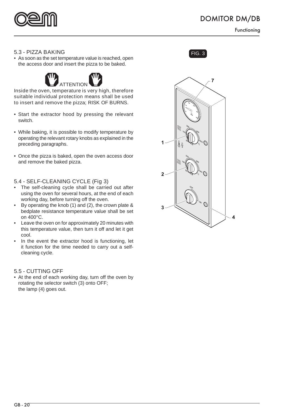

Functioning

#### **5.3 - PIZZA BAKING** FIG. 3

• As soon as the set temperature value is reached, open the access door and insert the pizza to be baked.



**Inside the oven, temperature is very high, therefore suitable individual protection means shall be used to insert and remove the pizza; RISK OF BURNS.**

- Start the extractor hood by pressing the relevant switch.
- While baking, it is possible to modify temperature by operating the relevant rotary knobs as explained in the preceding paragraphs.
- Once the pizza is baked, open the oven access door and remove the baked pizza.

#### **5.4 - SELF-CLEANING CYCLE (Fig 3)**

- The self-cleaning cycle shall be carried out after using the oven for several hours, at the end of each working day, before turning off the oven.
- By operating the knob (1) and (2), the crown plate & bedplate resistance temperature value shall be set on 400°C.
- Leave the oven on for approximately 20 minutes with this temperature value, then turn it off and let it get cool.
- In the event the extractor hood is functioning, let it function for the time needed to carry out a selfcleaning cycle.

#### **5.5 - CUTTING OFF**

• At the end of each working day, turn off the oven by rotating the selector switch (3) onto OFF; the lamp (4) goes out.



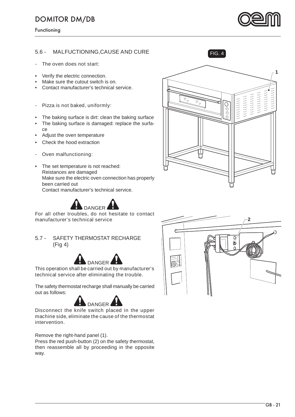Functioning

#### **5.6 - MALFUCTIONING,CAUSE AND CURE**

#### **- The oven does not start:**

- Verify the electric connection.
- Make sure the cutout switch is on.
- Contact manufacturer's technical service.

#### **- Pizza is not baked, uniformly:**

- The baking surface is dirt: clean the baking surface
- The baking surface is damaged: replace the surface
- Adjust the oven temperature
- Check the hood extraction
- **Oven malfunctioning:**
- The set temperature is not reached: Reistances are damaged Make sure the electric oven connection has properly been carried out Contact manufacturer's technical service.



**For all other troubles, do not hesitate to contact manufacturer's technical service**

**5.7 - SAFETY THERMOSTAT RECHARGE (Fig 4)**



**This operation shall be carried out by manufacturer's technical service after eliminating the trouble.**

The safety thermostat recharge shall manually be carried out as follows:



**Disconnect the knife switch placed in the upper machine side, eliminate the cause of the thermostat intervention.**

Remove the right-hand panel (1).

Press the red push-button (2) on the safety thermostat, then reassemble all by proceeding in the opposite way.





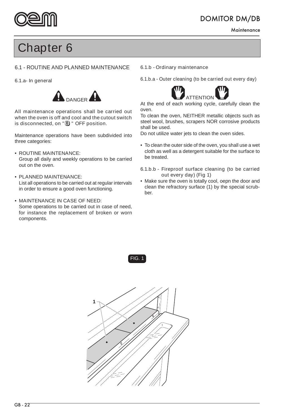

**Maintenance** 

## **Chapter 6**

#### **6.1 - ROUTINE AND PLANNED MAINTENANCE**

#### **6.1.a- In general**



**All maintenance operations shall be carried out when the oven is off and cool and the cutout switch**  is disconnected, on "<sup>(0)</sup> " OFF position.

Maintenance operations have been subdivided into three categories:

#### **• ROUTINE MAINTENANCE:**

 Group all daily and weekly operations to be carried out on the oven.

#### **• PLANNED MAINTENANCE:**

 List all operations to be carried out at regular intervals in order to ensure a good oven functioning.

#### **• MAINTENANCE IN CASE OF NEED:**

Some operations to be carried out in case of need, for instance the replacement of broken or worn components.

#### **6.1.b - Ordinary maintenance**

**6.1.b.a - Outer cleaning (to be carried out every day)**



At the end of each working cycle, carefully clean the oven.

To clean the oven, NEITHER metallic objects such as steel wool, brushes, scrapers NOR corrosive products shall be used.

Do not utilize water jets to clean the oven sides.

• To clean the outer side of the oven, you shall use a wet cloth as well as a detergent suitable for the surface to be treated.

#### **6.1.b.b - Fireproof surface cleaning (to be carried out every day) (Fig 1)**

• Make sure the oven is totally cool, oepn the door and clean the refractory surface (1) by the special scrubber.



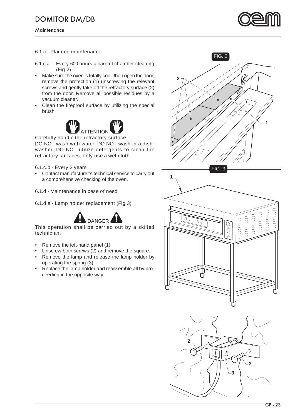

#### **6.1.c - Planned maintenance**

#### **6.1.c.a - Every 600 hours a careful chamber cleaning (Fig 2)**

- Make sure the oven is totally cool, then open the door, remove the protection (1) unscrewing the relevant screws and gently take off the refractory surface (2) from the door. Remove all possible residues by a vacuum cleaner.
- Clean the fireproof surface by utilizing the special brush.



**Carefully handle the refractory surface. DO NOT wash with water, DO NOT wash in a dishwasher, DO NOT utilize detergents to clean the** 

#### **6.1.c.b - Every 2 years**

**•** Contact manufacturer's technical service to carry out a comprehensive checking of the oven.

#### **6.1.d - Maintenance in case of need**

#### **6.1.d.a - Lamp holder replacement (Fig 3)**

**refractory surfaces, only use a wet cloth.**



#### **This operation shall be carried out by a skilled technician.**

- Remove the left-hand panel (1).
- Unscrew both screws (2) and remove the square.
- Remove the lamp and release the lamp holder by operating the spring (3).
- Replace the lamp holder and reassemble all by proceeding in the opposite way.





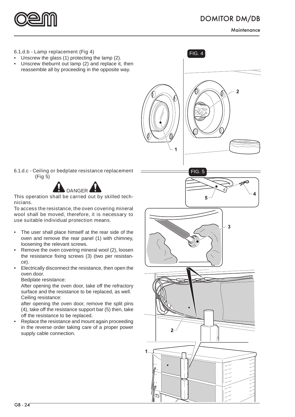

#### **6.1.d.b - Lamp replacement (Fig 4)**

- Unscrew the glass (1) protecting the lamp (2).
- Unscrew theburnt out lamp (2) and replace it, then reassemble all by proceeding in the opposite way.



FIG. 4

**6.1.d.c - Ceiling or bedplate resistance replacement (Fig 5)**



**This operation shall be carried out by skilled technicians.**

**To access the resistance, the oven covering mineral wool shall be moved, therefore, it is necessary to use suitable individual protection means.**

- The user shall place himself at the rear side of the oven and remove the rear panel (1) with chimney, loosening the relevant screws.
- Remove the oven covering mineral wool (2), loosen the resistance fixing screws (3) (two per resistance).
- Electrically disconnect the resistance, then open the oven door.

Bedplate resistance:

 After opening the oven door, take off the refractory surface and the resistance to be replaced, as well. Ceiling resistance:

 after opening the oven door, remove the split pins (4), take off the resistance support bar (5) then, take off the resistance to be replaced.

• Replace the resistance and mount again proceeding in the reverse order taking care of a proper power supply cable connection.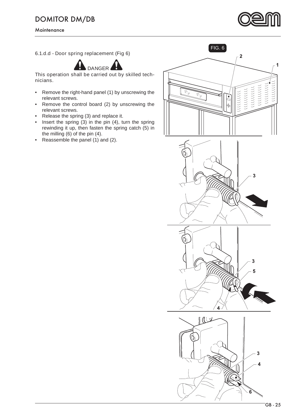

#### **6.1.d.d - Door spring replacement (Fig 6)**



**This operation shall be carried out by skilled technicians.**

- Remove the right-hand panel (1) by unscrewing the relevant screws.
- Remove the control board (2) by unscrewing the relevant screws.
- Release the spring (3) and replace it.
- Insert the spring  $(3)$  in the pin  $(4)$ , turn the spring rewinding it up, then fasten the spring catch (5) in the milling (6) of the pin (4).
- Reassemble the panel (1) and (2).

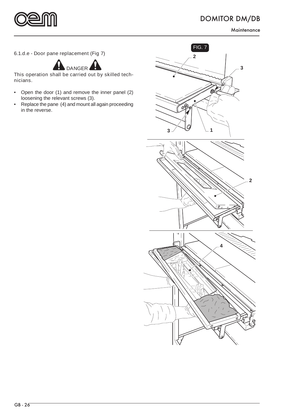



**6.1.d.e - Door pane replacement (Fig 7)**



**This operation shall be carried out by skilled technicians.**

- Open the door (1) and remove the inner panel (2) loosening the relevant screws (3).
- Replace the pane (4) and mount all again proceeding in the reverse.

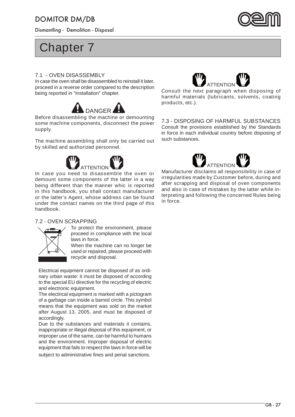Dismantling - Demolition - Disposal



## **Chapter 7**

#### **7.1 - OVEN DISASSEMBLY**

In case the oven shall be disassembled to reinstall it later, proceed in a reverse order compared to the description being reported in "Installation" chapter.



**Before disassembling the machine or demounting some machine components, disconnect the power supply.**

**The machine assembling shall only be carried out by skilled and authorized personnel.**



**In case you need to disassemble the oven or demount some components of the latter in a way being different than the manner whic is reported in this handbook, you shall contact manufacturer or the latter's Agent, whose address can be found under the contact names on the third page of this handbook.**

#### **7.2 - OVEN SCRAPPING**



To protect the environment, please proceed in compliance with the local laws in force.

When the machine can no longer be used or repaired, please proceed with recycle and disposal.

Electrical equipment cannot be disposed of as ordinary urban waste: it must be disposed of according to the special EU directive for the recycling of electric and electronic equipment.

The electrical equipment is marked with a pictogram of a garbage can inside a barred circle. This symbol means that the equipment was sold on the market after August 13, 2005, and must be disposed of accordingly.

Due to the substances and materials it contains, inappropriate or illegal disposal of this equipment, or improper use of the same, can be harmful to humans and the environment. Improper disposal of electric equipment that fails to respect the laws in force will be subject to administrative fines and penal sanctions.



**Consult the next paragraph when disposing of harmful materials (lubricants, solvents, coating products, etc.).**

#### **7.3 - DISPOSING OF HARMFUL SUBSTANCES**

Consult the provisions established by the Standards in force in each individual country before disposing of such substances.



**Manufacturer disclaims all responsibility in case of irregularities made by Customer before, during and after scrapping and disposal of oven components and also in case of mistakes by the latter while interpreting and following the concerned Rules being in force.**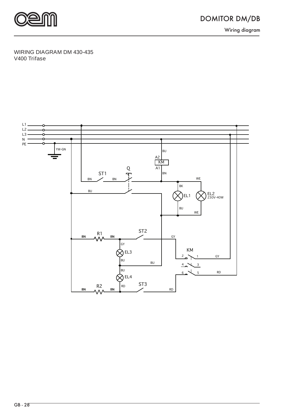

#### **WIRING DIAGRAM DM 430-435 V400 Trifase**

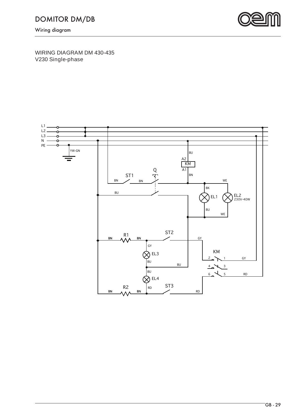

**WIRING DIAGRAM DM 430-435 V230 Single-phase**

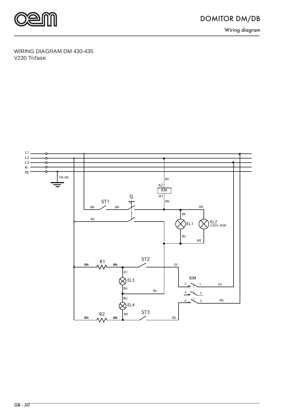

#### **WIRING DIAGRAM DM 430-435 V230 Trifase**

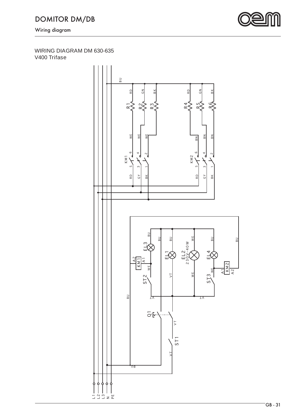

#### **WIRING DIAGRAM DM 630-635 V400 Trifase**

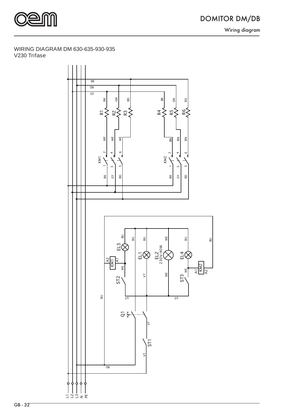

#### **WIRING DIAGRAM DM 630-635-930-935 V230 Trifase**

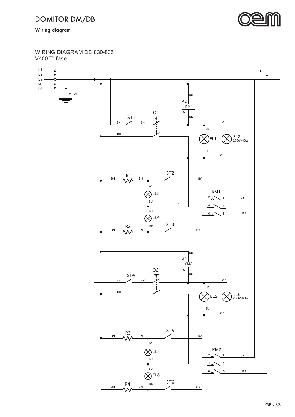

**WIRING DIAGRAM DB 830-835 V400 Trifase**

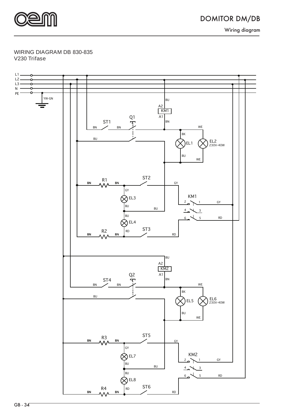

Wiring diagram

#### **WIRING DIAGRAM DB 830-835 V230 Trifase**

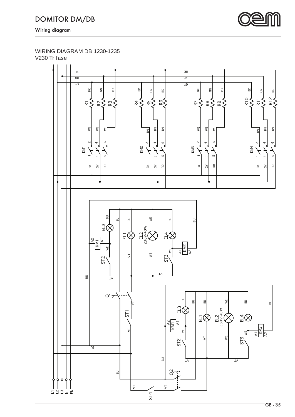

#### **WIRING DIAGRAM DB 1230-1235 V230 Trifase**

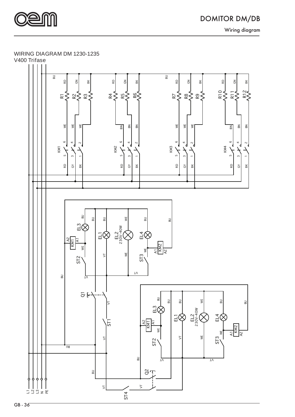

DOMITOR DM/DB Wiring diagram

#### **WIRING DIAGRAM DM 1230-1235**



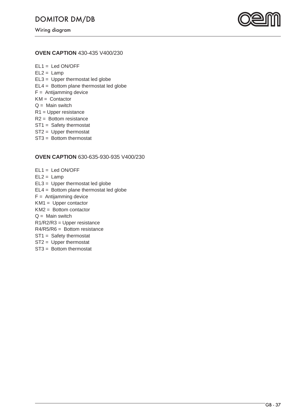

#### **OVEN CAPTION 430-435 V400/230**

**EL1 =** Led ON/OFF **EL2 =** Lamp **EL3 =** Upper thermostat led globe **EL4 =** Bottom plane thermostat led globe **F =** Antijamming device **KM =** Contactor **Q =** Main switch **R1 =** Upper resistance **R2 =** Bottom resistance **ST1 =** Safety thermostat **ST2 =** Upper thermostat **ST3 =** Bottom thermostat

#### **OVEN CAPTION 630-635-930-935 V400/230**

**EL1 =** Led ON/OFF **EL2 =** Lamp **EL3 =** Upper thermostat led globe **EL4 =** Bottom plane thermostat led globe **F =** Antijamming device **KM1 =** Upper contactor **KM2 =** Bottom contactor **Q =** Main switch **R1/R2/R3 =** Upper resistance **R4/R5/R6 =** Bottom resistance **ST1 =** Safety thermostat **ST2 =** Upper thermostat **ST3 =** Bottom thermostat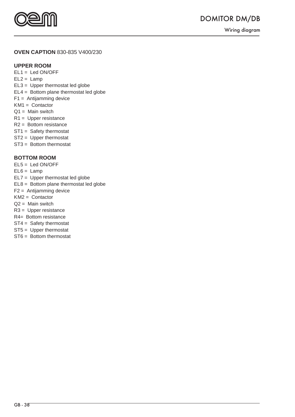

#### **OVEN CAPTION 830-835 V400/230**

#### **UPPER ROOM**

- **EL1 =** Led ON/OFF  $EL2 =$  Lamp **EL3 =** Upper thermostat led globe **EL4 =** Bottom plane thermostat led globe **F1 =** Antijamming device **KM1 =** Contactor
- **Q1 =** Main switch
- **R1 =** Upper resistance
- **R2 =** Bottom resistance
- **ST1 =** Safety thermostat
- **ST2 =** Upper thermostat
- **ST3 =** Bottom thermostat

#### **BOTTOM ROOM**

- **EL5 =** Led ON/OFF
- **EL6 =** Lamp
- **EL7 =** Upper thermostat led globe
- **EL8 =** Bottom plane thermostat led globe
- **F2 =** Antijamming device
- **KM2 =** Contactor
- **Q2 =** Main switch
- **R3 =** Upper resistance
- **R4=** Bottom resistance
- **ST4 =** Safety thermostat
- **ST5 =** Upper thermostat
- **ST6 =** Bottom thermostat